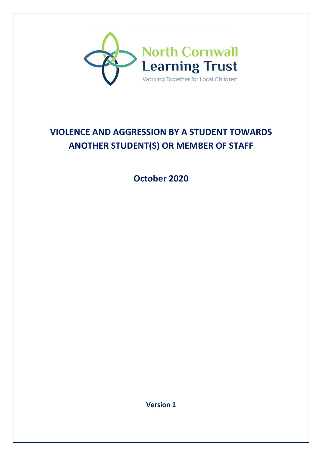

# **VIOLENCE AND AGGRESSION BY A STUDENT TOWARDS ANOTHER STUDENT(S) OR MEMBER OF STAFF**

**October 2020** 

**Version 1**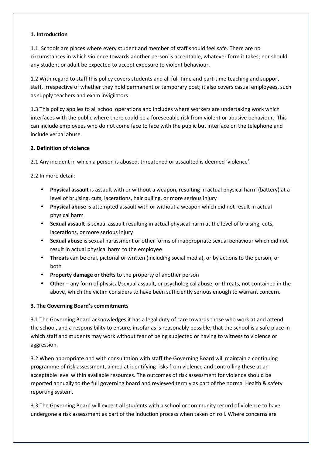### **1. Introduction**

1.1. Schools are places where every student and member of staff should feel safe. There are no circumstances in which violence towards another person is acceptable, whatever form it takes; nor should any student or adult be expected to accept exposure to violent behaviour.

1.2 With regard to staff this policy covers students and all full-time and part-time teaching and support staff, irrespective of whether they hold permanent or temporary post; it also covers casual employees, such as supply teachers and exam invigilators.

1.3 This policy applies to all school operations and includes where workers are undertaking work which interfaces with the public where there could be a foreseeable risk from violent or abusive behaviour. This can include employees who do not come face to face with the public but interface on the telephone and include verbal abuse.

## **2. Definition of violence**

2.1 Any incident in which a person is abused, threatened or assaulted is deemed 'violence'.

2.2 In more detail:

- **Physical assault** is assault with or without a weapon, resulting in actual physical harm (battery) at a level of bruising, cuts, lacerations, hair pulling, or more serious injury
- **Physical abuse** is attempted assault with or without a weapon which did not result in actual physical harm
- **Sexual assault** is sexual assault resulting in actual physical harm at the level of bruising, cuts, lacerations, or more serious injury
- **Sexual abuse** is sexual harassment or other forms of inappropriate sexual behaviour which did not result in actual physical harm to the employee
- **Threats** can be oral, pictorial or written (including social media), or by actions to the person, or both
- **Property damage or thefts** to the property of another person
- **Other** any form of physical/sexual assault, or psychological abuse, or threats, not contained in the above, which the victim considers to have been sufficiently serious enough to warrant concern.

## **3. The Governing Board's commitments**

3.1 The Governing Board acknowledges it has a legal duty of care towards those who work at and attend the school, and a responsibility to ensure, insofar as is reasonably possible, that the school is a safe place in which staff and students may work without fear of being subjected or having to witness to violence or aggression.

3.2 When appropriate and with consultation with staff the Governing Board will maintain a continuing programme of risk assessment, aimed at identifying risks from violence and controlling these at an acceptable level within available resources. The outcomes of risk assessment for violence should be reported annually to the full governing board and reviewed termly as part of the normal Health & safety reporting system.

3.3 The Governing Board will expect all students with a school or community record of violence to have undergone a risk assessment as part of the induction process when taken on roll. Where concerns are